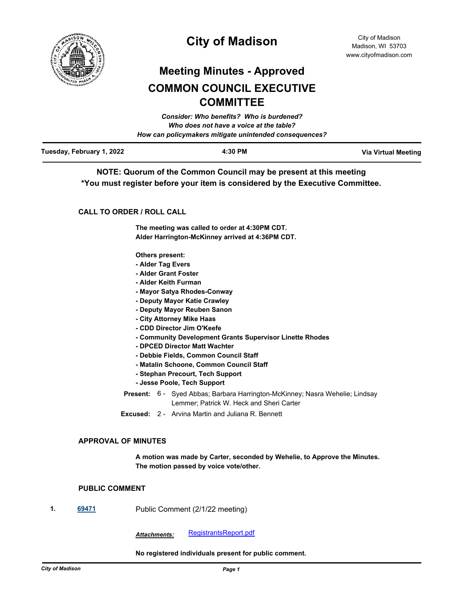

# **City of Madison**

# **Meeting Minutes - Approved COMMON COUNCIL EXECUTIVE COMMITTEE**

|                           | Consider: Who benefits? Who is burdened?               |                            |
|---------------------------|--------------------------------------------------------|----------------------------|
|                           | Who does not have a voice at the table?                |                            |
|                           | How can policymakers mitigate unintended consequences? |                            |
| Tuesday, February 1, 2022 | 4:30 PM                                                | <b>Via Virtual Meeting</b> |

**NOTE: Quorum of the Common Council may be present at this meeting \*You must register before your item is considered by the Executive Committee.**

# **CALL TO ORDER / ROLL CALL**

**The meeting was called to order at 4:30PM CDT. Alder Harrington-McKinney arrived at 4:36PM CDT.**

**Others present:**

- **Alder Tag Evers**
- **Alder Grant Foster**
- **Alder Keith Furman**
- **Mayor Satya Rhodes-Conway**
- **Deputy Mayor Katie Crawley**
- **Deputy Mayor Reuben Sanon**
- **City Attorney Mike Haas**
- **CDD Director Jim O'Keefe**
- **Community Development Grants Supervisor Linette Rhodes**
- **DPCED Director Matt Wachter**
- **Debbie Fields, Common Council Staff**
- **Matalin Schoone, Common Council Staff**
- **Stephan Precourt, Tech Support**
- **Jesse Poole, Tech Support**
- Present: 6 Syed Abbas; Barbara Harrington-McKinney; Nasra Wehelie; Lindsay Lemmer; Patrick W. Heck and Sheri Carter
- **Excused:** 2 Arvina Martin and Juliana R. Bennett

## **APPROVAL OF MINUTES**

**A motion was made by Carter, seconded by Wehelie, to Approve the Minutes. The motion passed by voice vote/other.**

## **PUBLIC COMMENT**

**1. [69471](http://madison.legistar.com/gateway.aspx?m=l&id=/matter.aspx?key=80868)** Public Comment (2/1/22 meeting)

*Attachments:* [RegistrantsReport.pdf](http://madison.legistar.com/gateway.aspx?M=F&ID=04971fd9-95bf-4cb2-bb71-a4343f7af8c9.pdf)

**No registered individuals present for public comment.**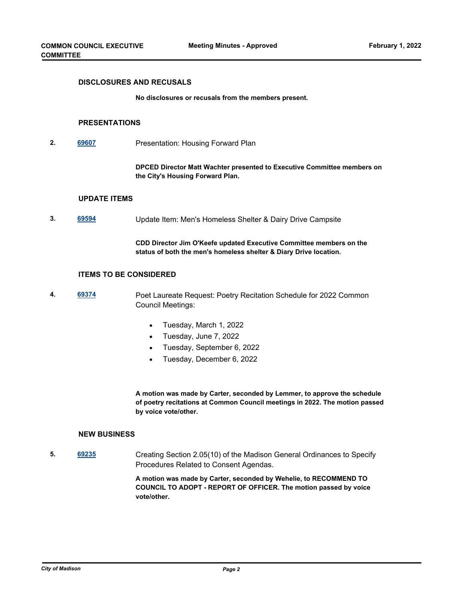#### **DISCLOSURES AND RECUSALS**

**No disclosures or recusals from the members present.**

#### **PRESENTATIONS**

**2. [69607](http://madison.legistar.com/gateway.aspx?m=l&id=/matter.aspx?key=80954)** Presentation: Housing Forward Plan

**DPCED Director Matt Wachter presented to Executive Committee members on the City's Housing Forward Plan.**

#### **UPDATE ITEMS**

**3. [69594](http://madison.legistar.com/gateway.aspx?m=l&id=/matter.aspx?key=80953)** Update Item: Men's Homeless Shelter & Dairy Drive Campsite

**CDD Director Jim O'Keefe updated Executive Committee members on the status of both the men's homeless shelter & Diary Drive location.**

### **ITEMS TO BE CONSIDERED**

- **4. [69374](http://madison.legistar.com/gateway.aspx?m=l&id=/matter.aspx?key=80801)** Poet Laureate Request: Poetry Recitation Schedule for 2022 Common Council Meetings:
	- Tuesday, March 1, 2022
	- · Tuesday, June 7, 2022
	- Tuesday, September 6, 2022
	- Tuesday, December 6, 2022

**A motion was made by Carter, seconded by Lemmer, to approve the schedule of poetry recitations at Common Council meetings in 2022. The motion passed by voice vote/other.**

#### **NEW BUSINESS**

**5. [69235](http://madison.legistar.com/gateway.aspx?m=l&id=/matter.aspx?key=80713)** Creating Section 2.05(10) of the Madison General Ordinances to Specify Procedures Related to Consent Agendas.

> **A motion was made by Carter, seconded by Wehelie, to RECOMMEND TO COUNCIL TO ADOPT - REPORT OF OFFICER. The motion passed by voice vote/other.**